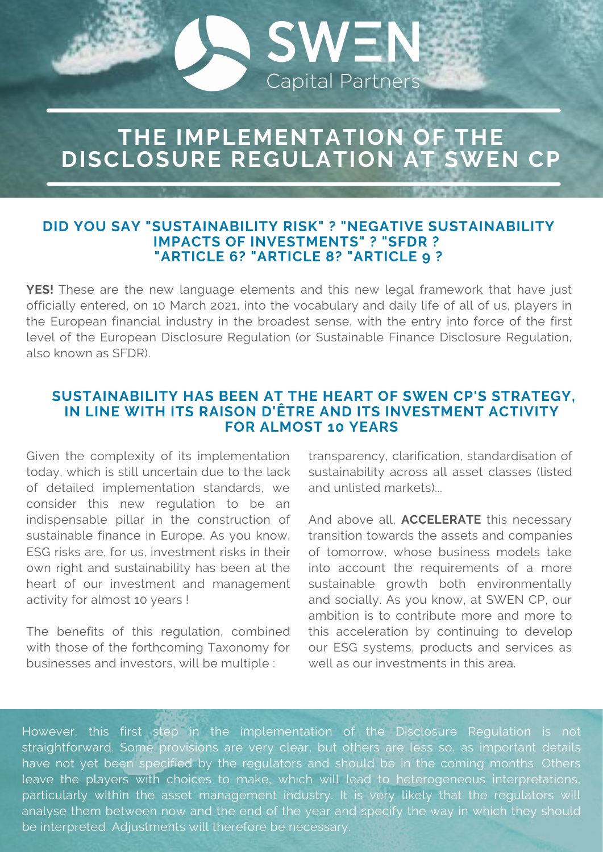# **THE IMPLEMENTATION OF THE DISCLOSURE REGULATION AT SWEN CP**

**SWEN** 

**Capital Partners** 

#### **DID YOU SAY "SUSTAINABILITY RISK" ? "NEGATIVE SUSTAINABILITY IMPACTS OF INVESTMENTS" ? "SFDR ? "ARTICLE 6? "ARTICLE 8? "ARTICLE 9 ?**

**YES!** These are the new language elements and this new legal framework that have just officially entered, on 10 March 2021, into the vocabulary and daily life of all of us, players in the European financial industry in the broadest sense, with the entry into force of the first level of the European Disclosure Regulation (or Sustainable Finance Disclosure Regulation, also known as SFDR).

### **SUSTAINABILITY HAS BEEN AT THE HEART OF SWEN CP'S STRATEGY, IN LINE WITH ITS RAISON D'ÊTRE AND ITS INVESTMENT ACTIVITY FOR ALMOST 10 YEARS**

Given the complexity of its implementation today, which is still uncertain due to the lack of detailed implementation standards, we consider this new regulation to be an indispensable pillar in the construction of sustainable finance in Europe. As you know, ESG risks are, for us, investment risks in their own right and sustainability has been at the heart of our investment and management activity for almost 10 years !

The benefits of this regulation, combined with those of the forthcoming Taxonomy for businesses and investors, will be multiple :

transparency, clarification, standardisation of sustainability across all asset classes (listed and unlisted markets)...

And above all, **ACCELERATE** this necessary transition towards the assets and companies of tomorrow, whose business models take into account the requirements of a more sustainable growth both environmentally and socially. As you know, at SWEN CP, our ambition is to contribute more and more to this acceleration by continuing to develop our ESG systems, products and services as well as our investments in this area.

However, this first step in the implementation of the Disclosure Regulation is not straightforward. Some provisions are very clear, but others are less so, as important details have not yet been specified by the regulators and should be in the coming months. Others leave the players with choices to make, which will lead to heterogeneous interpretations, particularly within the asset management industry. It is very likely that the regulators will analyse them between now and the end of the year and specify the way in which they should be interpreted. Adjustments will therefore be necessary.